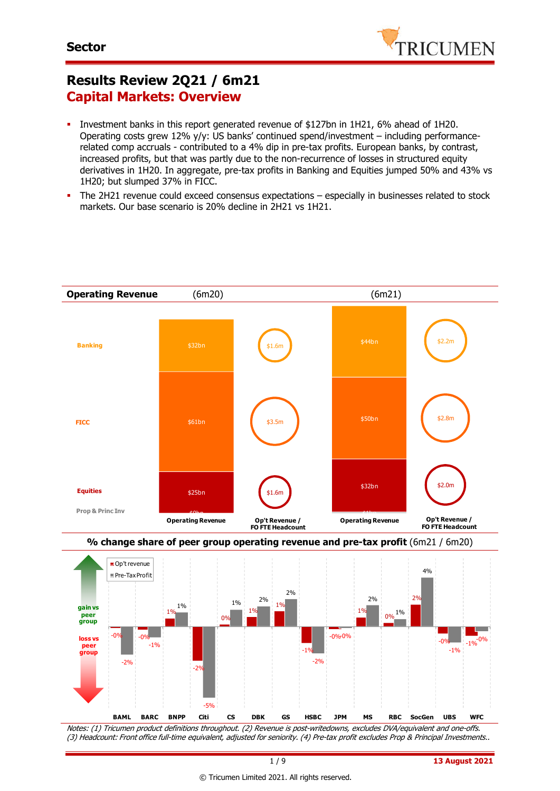

## **Results Review 2Q21 / 6m21 Capital Markets: Overview**

- Investment banks in this report generated revenue of \$127bn in 1H21, 6% ahead of 1H20. Operating costs grew 12% y/y: US banks' continued spend/investment – including performancerelated comp accruals - contributed to a 4% dip in pre-tax profits. European banks, by contrast, increased profits, but that was partly due to the non-recurrence of losses in structured equity derivatives in 1H20. In aggregate, pre-tax profits in Banking and Equities jumped 50% and 43% vs 1H20; but slumped 37% in FICC.
- The 2H21 revenue could exceed consensus expectations especially in businesses related to stock markets. Our base scenario is 20% decline in 2H21 vs 1H21.



Notes: (1) Tricumen product definitions throughout. (2) Revenue is post-writedowns, excludes DVA/equivalent and one-offs. (3) Headcount: Front office full-time equivalent, adjusted for seniority. (4) Pre-tax profit excludes Prop & Principal Investments..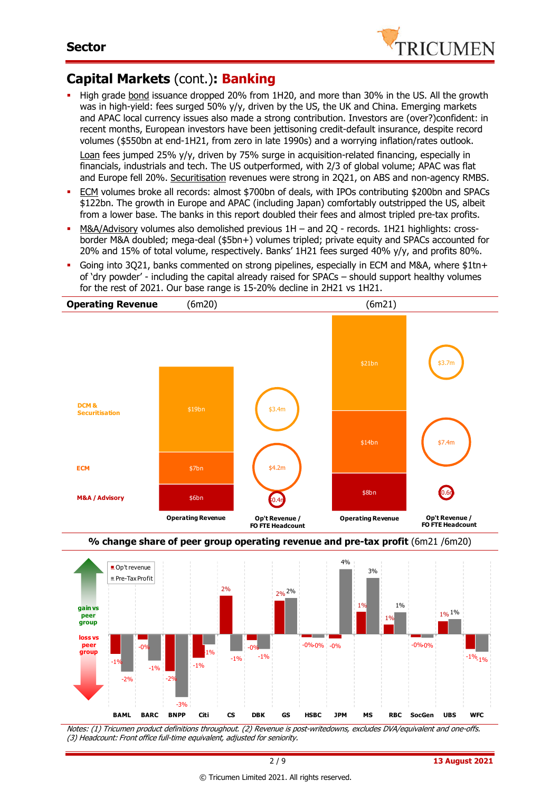

### **Capital Markets** (cont.)**: Banking**

High grade bond issuance dropped 20% from 1H20, and more than 30% in the US. All the growth was in high-yield: fees surged 50% y/y, driven by the US, the UK and China. Emerging markets and APAC local currency issues also made a strong contribution. Investors are (over?)confident: in recent months, European investors have been jettisoning credit-default insurance, despite record volumes (\$550bn at end-1H21, from zero in late 1990s) and a worrying inflation/rates outlook.

Loan fees jumped 25% y/y, driven by 75% surge in acquisition-related financing, especially in financials, industrials and tech. The US outperformed, with 2/3 of global volume; APAC was flat and Europe fell 20%. Securitisation revenues were strong in 2Q21, on ABS and non-agency RMBS.

- ECM volumes broke all records: almost \$700bn of deals, with IPOs contributing \$200bn and SPACs \$122bn. The growth in Europe and APAC (including Japan) comfortably outstripped the US, albeit from a lower base. The banks in this report doubled their fees and almost tripled pre-tax profits.
- M&A/Advisory volumes also demolished previous 1H and 2Q records. 1H21 highlights: crossborder M&A doubled; mega-deal (\$5bn+) volumes tripled; private equity and SPACs accounted for 20% and 15% of total volume, respectively. Banks' 1H21 fees surged 40% y/y, and profits 80%.
- Going into 3Q21, banks commented on strong pipelines, especially in ECM and M&A, where \$1tn+ of 'dry powder' - including the capital already raised for SPACs – should support healthy volumes for the rest of 2021. Our base range is 15-20% decline in 2H21 vs 1H21.





Notes: (1) Tricumen product definitions throughout. (2) Revenue is post-writedowns, excludes DVA/equivalent and one-offs. (3) Headcount: Front office full-time equivalent, adjusted for seniority.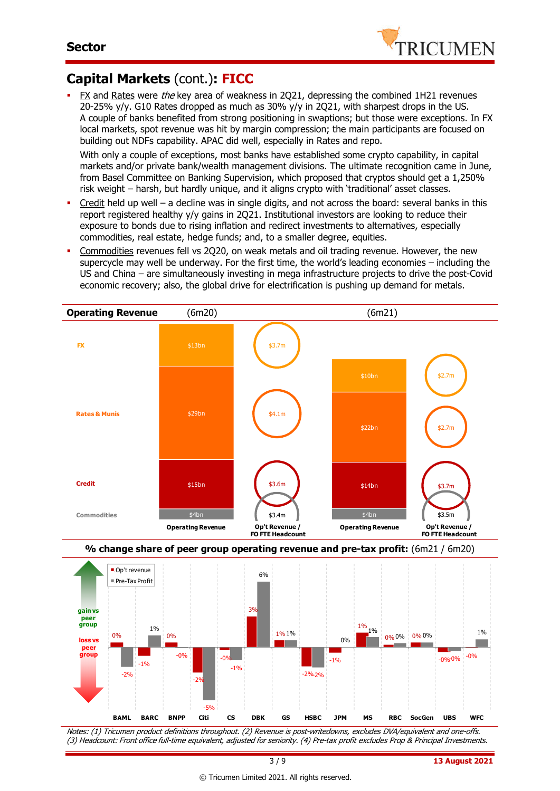

### **Capital Markets** (cont.)**: FICC**

FX and Rates were the key area of weakness in 2Q21, depressing the combined 1H21 revenues 20-25%  $y/y$ . G10 Rates dropped as much as 30%  $y/y$  in 2Q21, with sharpest drops in the US. A couple of banks benefited from strong positioning in swaptions; but those were exceptions. In FX local markets, spot revenue was hit by margin compression; the main participants are focused on building out NDFs capability. APAC did well, especially in Rates and repo.

With only a couple of exceptions, most banks have established some crypto capability, in capital markets and/or private bank/wealth management divisions. The ultimate recognition came in June, from Basel Committee on Banking Supervision, which proposed that cryptos should get a 1,250% risk weight – harsh, but hardly unique, and it aligns crypto with 'traditional' asset classes.

- Credit held up well a decline was in single digits, and not across the board: several banks in this report registered healthy y/y gains in 2Q21. Institutional investors are looking to reduce their exposure to bonds due to rising inflation and redirect investments to alternatives, especially commodities, real estate, hedge funds; and, to a smaller degree, equities.
- Commodities revenues fell vs 2Q20, on weak metals and oil trading revenue. However, the new supercycle may well be underway. For the first time, the world's leading economies – including the US and China – are simultaneously investing in mega infrastructure projects to drive the post-Covid economic recovery; also, the global drive for electrification is pushing up demand for metals.





Notes: (1) Tricumen product definitions throughout. (2) Revenue is post-writedowns, excludes DVA/equivalent and one-offs. (3) Headcount: Front office full-time equivalent, adjusted for seniority. (4) Pre-tax profit excludes Prop & Principal Investments.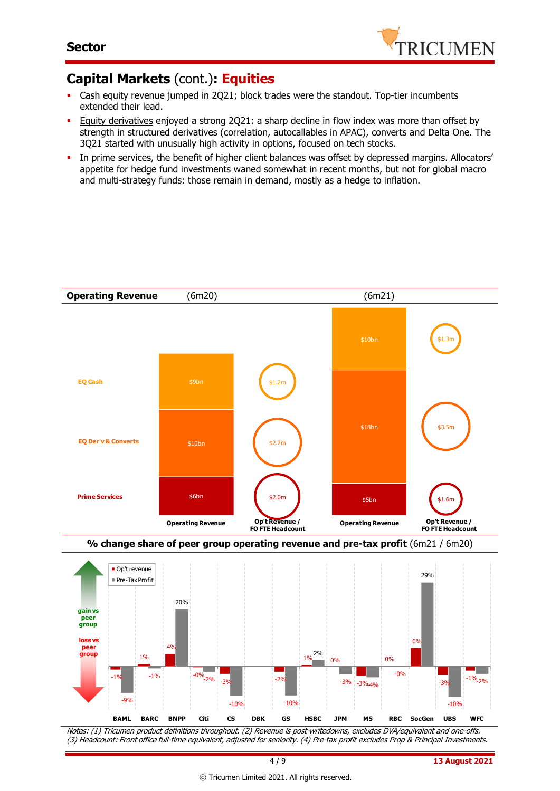

### **Capital Markets** (cont.)**: Equities**

- Cash equity revenue jumped in 2Q21; block trades were the standout. Top-tier incumbents extended their lead.
- Equity derivatives enjoyed a strong 2Q21: a sharp decline in flow index was more than offset by strength in structured derivatives (correlation, autocallables in APAC), converts and Delta One. The 3Q21 started with unusually high activity in options, focused on tech stocks.
- In prime services, the benefit of higher client balances was offset by depressed margins. Allocators' appetite for hedge fund investments waned somewhat in recent months, but not for global macro and multi-strategy funds: those remain in demand, mostly as a hedge to inflation.



Notes: (1) Tricumen product definitions throughout. (2) Revenue is post-writedowns, excludes DVA/equivalent and one-offs. (3) Headcount: Front office full-time equivalent, adjusted for seniority. (4) Pre-tax profit excludes Prop & Principal Investments.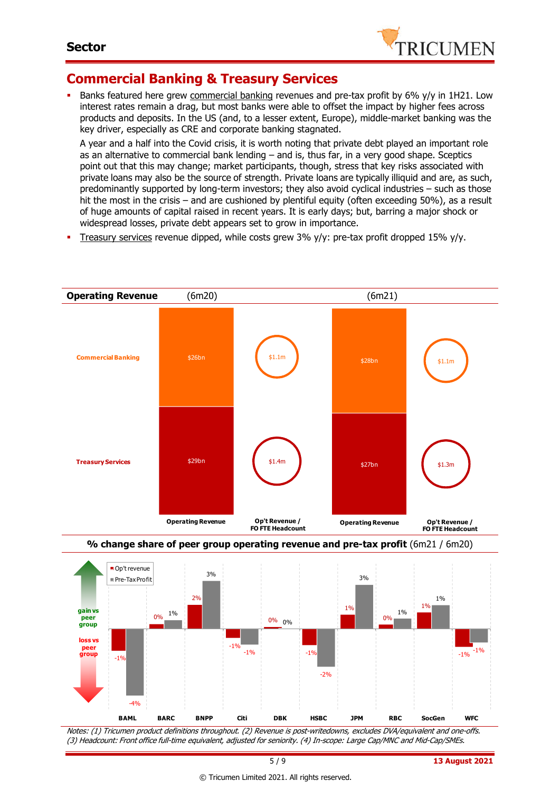

### **Commercial Banking & Treasury Services**

Banks featured here grew commercial banking revenues and pre-tax profit by 6% y/y in 1H21. Low interest rates remain a drag, but most banks were able to offset the impact by higher fees across products and deposits. In the US (and, to a lesser extent, Europe), middle-market banking was the key driver, especially as CRE and corporate banking stagnated.

A year and a half into the Covid crisis, it is worth noting that private debt played an important role as an alternative to commercial bank lending – and is, thus far, in a very good shape. Sceptics point out that this may change; market participants, though, stress that key risks associated with private loans may also be the source of strength. Private loans are typically illiquid and are, as such, predominantly supported by long-term investors; they also avoid cyclical industries – such as those hit the most in the crisis – and are cushioned by plentiful equity (often exceeding 50%), as a result of huge amounts of capital raised in recent years. It is early days; but, barring a major shock or widespread losses, private debt appears set to grow in importance.

Treasury services revenue dipped, while costs grew 3% y/y: pre-tax profit dropped 15% y/y.





Notes: (1) Tricumen product definitions throughout. (2) Revenue is post-writedowns, excludes DVA/equivalent and one-offs. (3) Headcount: Front office full-time equivalent, adjusted for seniority. (4) In-scope: Large Cap/MNC and Mid-Cap/SMEs.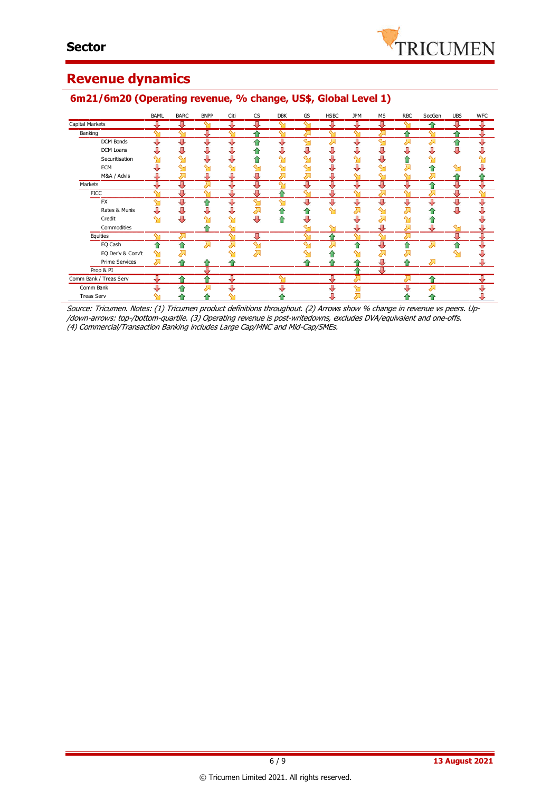

### **Revenue dynamics**

### BAML BARC BNPP Citi CS DBK GS HSBC JPM MS RBC SocGen UBS WFC Capital Markets ⊽ ग्र ॻ रा 再 男 л ⇩ ⇧ л Banking ⇩ ⇧ 企 企 ⇩ ⋝ ↬ DCM Bonds ⇩ ⇩ ⇩ ₽ € ⇩ J € š Ŏ š J J DCM Loans Ò, Ò, 츄 Ü Ò  $\overline{v}$ j, J Ò, ě ě š Securitisation 计算 ⇧ Ò, ⇧  $\hat{\mathbf{r}}$  $\mathbf{\hat{y}}$ ⇘ a<br>a ∾ ∾ Ă ā **ECM**  $\sim$  $\sim$  $\overline{\ }$  $\sum$ ⇧ M&A / Advis Д J Л л Л € Markets ⇩ € ₩ J  $\frac{1}{2}$ ₩ ᆌ ⇩ IJ ⇩ **FICC** 金 FX<sup>T</sup> IJ € J J  $\bar{\ddot{\bullet}}$ Rates & Munis J. J J.  $\sum$ 春 ♦  $\overline{\mathbf{Y}}$ Ā Ā ♦ ♦ J.  $\sum_{i=1}^{n}$  $\overline{\mathbf{M}}$ Ü  $\tilde{\mathbf{Y}}$ ⇩ J J 云 Ò Credit  $\mathbf{\hat{M}}$ 合  $\sim$ ⇑ **Commodities** ♦ л J л **Equities** ⇩ ↥ ⇩ ī EQ Cash € 쥬 प्र 1 쥬 Σ € ук<br>Ж EQ Der'v & Conv't  $\ddot{\textbf{r}}$ j  $\mathbf{\hat{M}}$  $\sum$  $\hat{\mathbb{I}}$ ⇧ Prime Services ⇧ 企 ⇧ Prop & PI Comm Bank / Treas Serv ↑ ⇧ 1 Comm Bank ⊽ π ≏ Treas Serv合 ⇑ ♦ Ü, Ä ⇧ Д

### **6m21/6m20 (Operating revenue, % change, US\$, Global Level 1)**

Source: Tricumen. Notes: (1) Tricumen product definitions throughout. (2) Arrows show % change in revenue vs peers. Up- /down-arrows: top-/bottom-quartile. (3) Operating revenue is post-writedowns, excludes DVA/equivalent and one-offs. (4) Commercial/Transaction Banking includes Large Cap/MNC and Mid-Cap/SMEs.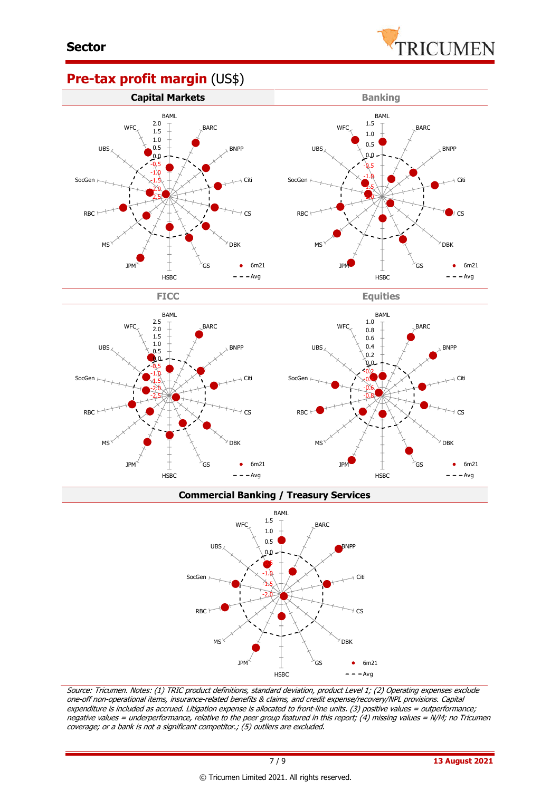

### **Pre-tax profit margin** (US\$)





**Commercial Banking / Treasury Services**



Source: Tricumen. Notes: (1) TRIC product definitions, standard deviation, product Level 1; (2) Operating expenses exclude one-off non-operational items, insurance-related benefits & claims, and credit expense/recovery/NPL provisions. Capital expenditure is included as accrued. Litigation expense is allocated to front-line units. (3) positive values = outperformance; negative values = underperformance, relative to the peer group featured in this report; (4) missing values = N/M; no Tricumen coverage; or a bank is not a significant competitor.; (5) outliers are excluded.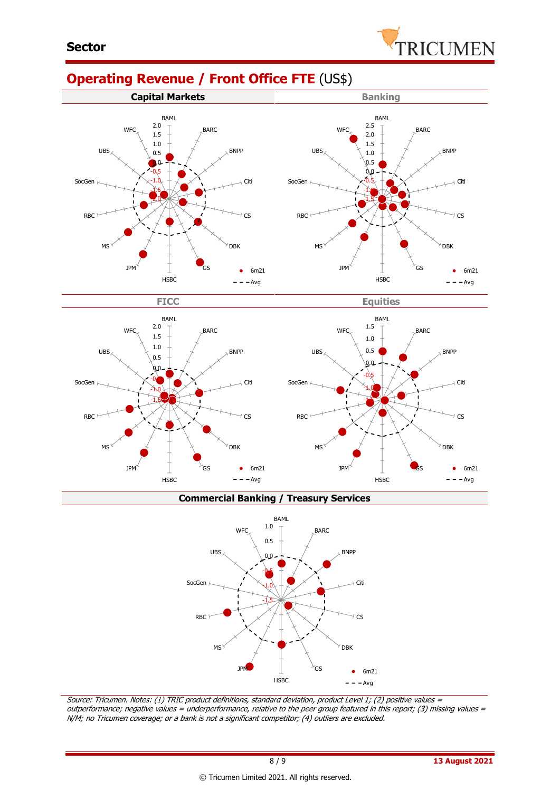# **Operating Revenue / Front Office FTE** (US\$)







**Commercial Banking / Treasury Services**



Source: Tricumen. Notes: (1) TRIC product definitions, standard deviation, product Level 1; (2) positive values <sup>=</sup> outperformance; negative values = underperformance, relative to the peer group featured in this report; (3) missing values = N/M; no Tricumen coverage; or a bank is not a significant competitor; (4) outliers are excluded.